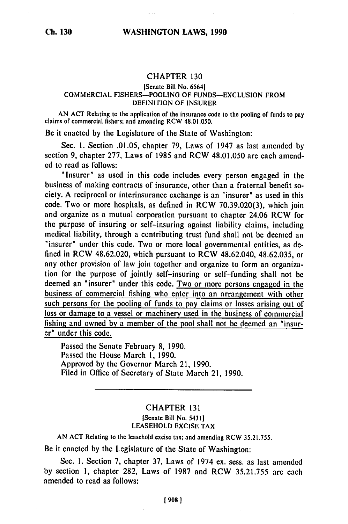## CHAPTER **130**

## [Senate Bill No. 65641 COMMERCIAL **FISHERS-POOLING** OF FUNDS-EXCLUSION FROM DEFINITION OF INSURER

AN ACT Relating to the application of the insurance code to the pooling **of** funds to pay claims of commercial fishers, and amending RCW 48.01.050.

Be it enacted by the Legislature of the State of Washington:

Sec. I. Section .01.05, chapter **79,** Laws of 1947 as last amended by section **9,** chapter 277, Laws of 1985 and RCW 48.01.050 are each amended to read as follows:

"Insurer" as used in this code includes every person engaged in the business of making contracts of insurance, other than a fraternal benefit society. A reciprocal or interinsurance exchange is an "insurer" as used in this code. Two or more hospitals, as defined in RCW 70.39.020(3), which join and organize as a mutual corporation pursuant to chapter 24.06 RCW for the purpose of insuring or self-insuring against liability claims, including medical liability, through a contributing trust fund shall not be deemed an "insurer" under this code. Two or more local governmental entities, as **de**fined in RCW 48.62.020, which pursuant to RCW 48.62.040, 48.62.035, or any other provision of law join together and organize to form an organization for the purpose of jointly self-insuring or self-funding shall not **be** deemed an "insurer" under this code. Two or more persons engaged in the business of commercial fishing who enter into an arrangement with other such persons for the pooling of funds to pay claims or losses arising out of loss or damage to a vessel or machinery used in the business of commercial fishing and owned **by** a member of the pool shall not be deemed an "insurer" under this code.

Passed the Senate February **8,** 1990. Passed the House March **1,** 1990. Approved by the Governor March 21, 1990. Filed in Office of Secretary of State March 21, 1990.

## CHAPTER <sup>131</sup> [Senate Bill No. 5431] LEASEHOLD EXCISE TAX

AN **ACT** Relating to the leasehold excise tax; and amending RCW **35.21.755.**

Be it enacted by the Legislature of the State of Washington:

Sec. I. Section 7, chapter **37,** Laws of 1974 ex. sess. as last amended by section **1,** chapter 282, Laws of 1987 and RCW 35.21.755 are each amended to read as follows: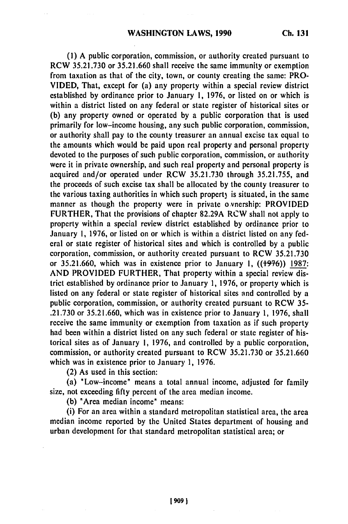**(1) A** public corporation, commission, or authority created pursuant to RCW **35.21.730** or **35.21.660** shall receive the same immunity or exemption from taxation as that of the city, town, or county creating the same: PRO-**VIDED,** That, except for (a) any property within a special review district established **by** ordinance prior to January **1, 1976,** or listed on or which is within a district listed on any federal or state register of historical sites or **(b)** any property owned or operated **by** a public corporation that is used primarily for low-income housing, any such public corporation, commission, or authority shall pay to the county treasurer an annual excise tax equal to the amounts which would be paid upon real property and personal property devoted to the purposes of such public corporation, commission, or authority were it in private ownership, and such real property and personal property is acquired and/or operated under RCW **35.21.730** through **35.21.755,** and the proceeds of such excise tax shall be allocated **by** the county treasurer to the various taxing authorities in which such property is situated, in the same manner as though the property were in private o vnership: PROVIDED FURTHER, That the provisions of chapter **82.29A** RCW shall not apply to property within a special review district established **by** ordinance prior to January **1, 1976,** or listed on or which is within a district listed on any **fed**eral or state register of historical sites and which is controlled **by** a public corporation, commission, or authority created pursuant to RCW **35.21.730** or **35.21.660,** which was in existence prior to January **1, ((+9-f6)) 1987: AND** PROVIDED FURTHER, That property within a special review district established **by** ordinance prior to January **1, 1976,** or property which is listed on any federal or state register of historical sites and controlled **by** a public corporation, commission, or authority created pursuant to RCW **35- .21.730** or **35.21.660,** which was in existence prior to January **1, 1976,** shall receive the same immunity or exemption from taxation as if such property had been within a district listed on any such federal or state register of historical sites as of January **1, 1976,** and controlled **by** a public corporation, commission, or authority created pursuant to RCW **35.21.730** or **35.21.660** which was in existence prior to January **1, 1976.**

(2) As used in this section:

(a) "Low-income" means a total annual income, adjusted for family size, not exceeding **fifty** percent of the area median income.

**(b)** 'Area median income" means:

(i) For an area within a standard metropolitan statistical area, the area median income reported **by** the United States department of housing and urban development for that standard metropolitan statistical area; or